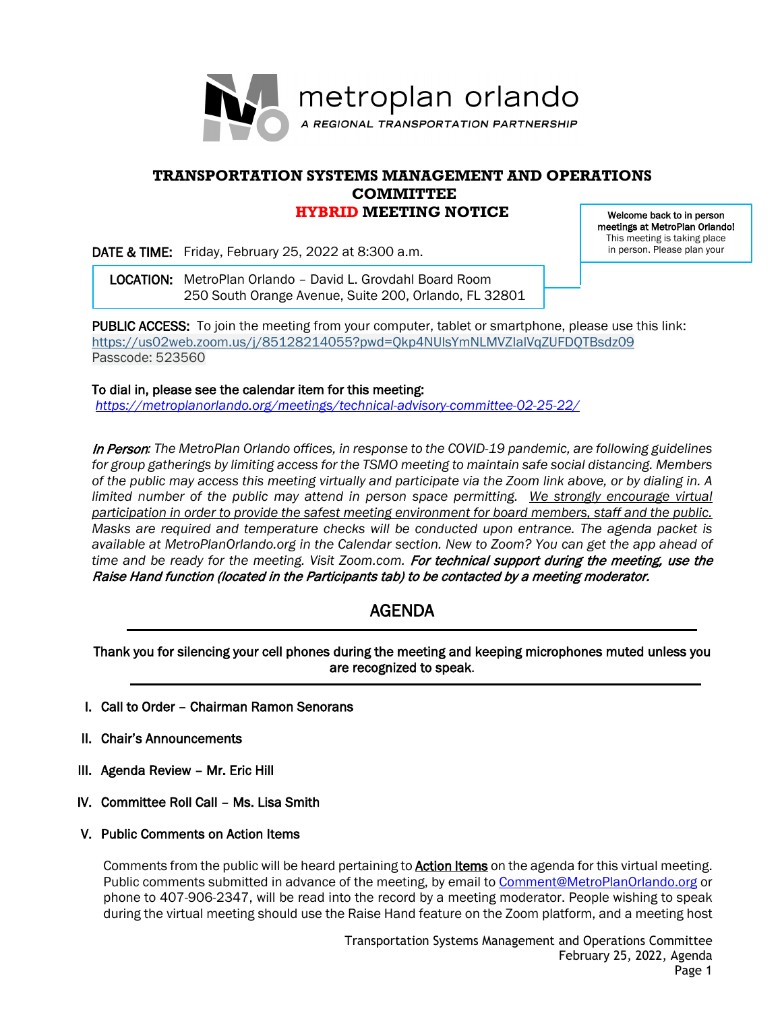

### **TRANSPORTATION SYSTEMS MANAGEMENT AND OPERATIONS COMMITTEE HYBRID MEETING NOTICE**

DATE & TIME: Friday, February 25, 2022 at 8:300 a.m.

Welcome back to in person meetings at MetroPlan Orlando! This meeting is taking place in person. Please plan your

 LOCATION: MetroPlan Orlando – David L. Grovdahl Board Room 250 South Orange Avenue, Suite 200, Orlando, FL 32801

PUBLIC ACCESS: To join the meeting from your computer, tablet or smartphone, please use this link: <https://us02web.zoom.us/j/85128214055?pwd=Qkp4NUlsYmNLMVZIalVqZUFDQTBsdz09> Passcode: 523560

To dial in, please see the calendar item for this meeting: *<https://metroplanorlando.org/meetings/technical-advisory-committee-02-25-22/>*

In Person*: The MetroPlan Orlando offices, in response to the COVID-19 pandemic, are following guidelines for group gatherings by limiting access for the TSMO meeting to maintain safe social distancing. Members of the public may access this meeting virtually and participate via the Zoom link above, or by dialing in. A*  limited number of the public may attend in person space permitting. We strongly encourage virtual *participation in order to provide the safest meeting environment for board members, staff and the public. Masks are required and temperature checks will be conducted upon entrance. The agenda packet is available at MetroPlanOrlando.org in the Calendar section. New to Zoom? You can get the app ahead of*  time and be ready for the meeting. Visit Zoom.com. For technical support during the meeting, use the Raise Hand function (located in the Participants tab) to be contacted by a meeting moderator.

## AGENDA

Thank you for silencing your cell phones during the meeting and keeping microphones muted unless you are recognized to speak.

- I. Call to Order Chairman Ramon Senorans
- II. Chair's Announcements
- III. Agenda Review Mr. Eric Hill
- IV. Committee Roll Call Ms. Lisa Smith
- V. Public Comments on Action Items

Comments from the public will be heard pertaining to **Action Items** on the agenda for this virtual meeting. Public comments submitted in advance of the meeting, by email to **Comment@MetroPlanOrlando.org** or phone to 407-906-2347, will be read into the record by a meeting moderator. People wishing to speak during the virtual meeting should use the Raise Hand feature on the Zoom platform, and a meeting host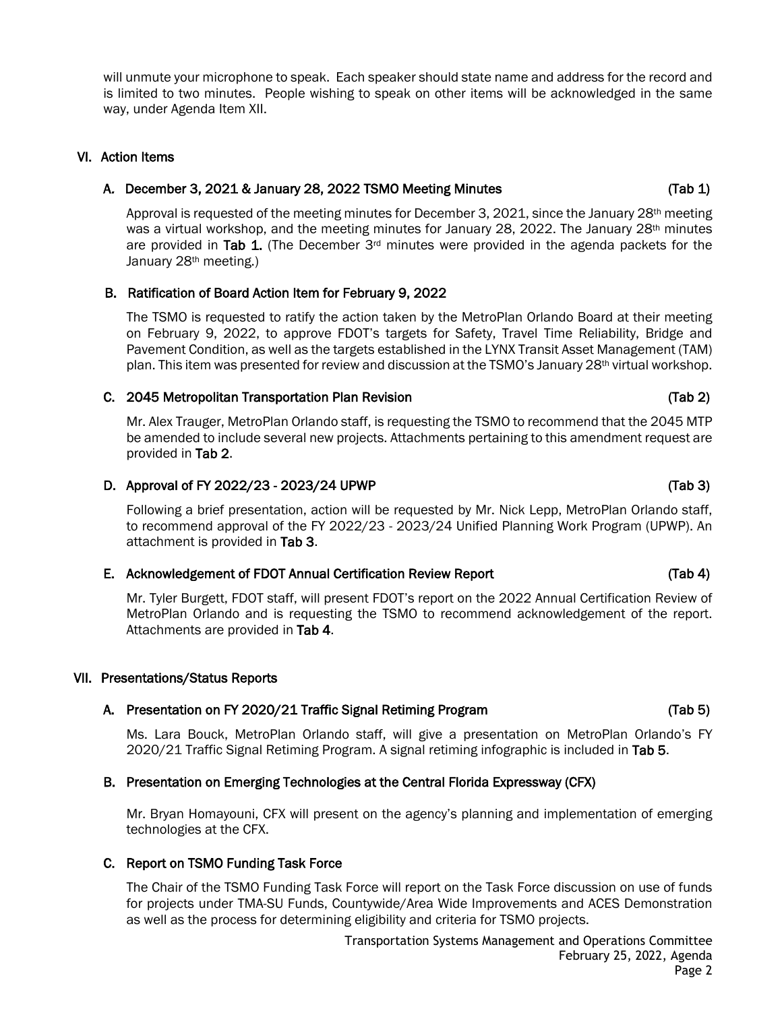will unmute your microphone to speak. Each speaker should state name and address for the record and is limited to two minutes. People wishing to speak on other items will be acknowledged in the same way, under Agenda Item XII.

#### VI. Action Items

#### A. December 3, 2021 & January 28, 2022 TSMO Meeting Minutes (Tab 1)

Approval is requested of the meeting minutes for December 3, 2021, since the January  $28<sup>th</sup>$  meeting was a virtual workshop, and the meeting minutes for January 28, 2022. The January  $28<sup>th</sup>$  minutes are provided in Tab 1. (The December  $3<sup>rd</sup>$  minutes were provided in the agenda packets for the January 28th meeting.)

### B. Ratification of Board Action Item for February 9, 2022

The TSMO is requested to ratify the action taken by the MetroPlan Orlando Board at their meeting on February 9, 2022, to approve FDOT's targets for Safety, Travel Time Reliability, Bridge and Pavement Condition, as well as the targets established in the LYNX Transit Asset Management (TAM) plan. This item was presented for review and discussion at the TSMO's January 28<sup>th</sup> virtual workshop.

#### C. 2045 Metropolitan Transportation Plan Revision (Tab 2)

Mr. Alex Trauger, MetroPlan Orlando staff, is requesting the TSMO to recommend that the 2045 MTP be amended to include several new projects. Attachments pertaining to this amendment request are provided in Tab 2.

#### D. Approval of FY 2022/23 - 2023/24 UPWP (Tab 3)

Following a brief presentation, action will be requested by Mr. Nick Lepp, MetroPlan Orlando staff, to recommend approval of the FY 2022/23 - 2023/24 Unified Planning Work Program (UPWP). An attachment is provided in Tab 3.

#### E. Acknowledgement of FDOT Annual Certification Review Report (Tab 4)

Mr. Tyler Burgett, FDOT staff, will present FDOT's report on the 2022 Annual Certification Review of MetroPlan Orlando and is requesting the TSMO to recommend acknowledgement of the report. Attachments are provided in Tab 4.

#### VII. Presentations/Status Reports

#### A. Presentation on FY 2020/21 Traffic Signal Retiming Program (Tab 5)

Ms. Lara Bouck, MetroPlan Orlando staff, will give a presentation on MetroPlan Orlando's FY 2020/21 Traffic Signal Retiming Program. A signal retiming infographic is included in Tab 5.

#### B. Presentation on Emerging Technologies at the Central Florida Expressway (CFX)

Mr. Bryan Homayouni, CFX will present on the agency's planning and implementation of emerging technologies at the CFX.

# C. Report on TSMO Funding Task Force

The Chair of the TSMO Funding Task Force will report on the Task Force discussion on use of funds for projects under TMA-SU Funds, Countywide/Area Wide Improvements and ACES Demonstration as well as the process for determining eligibility and criteria for TSMO projects.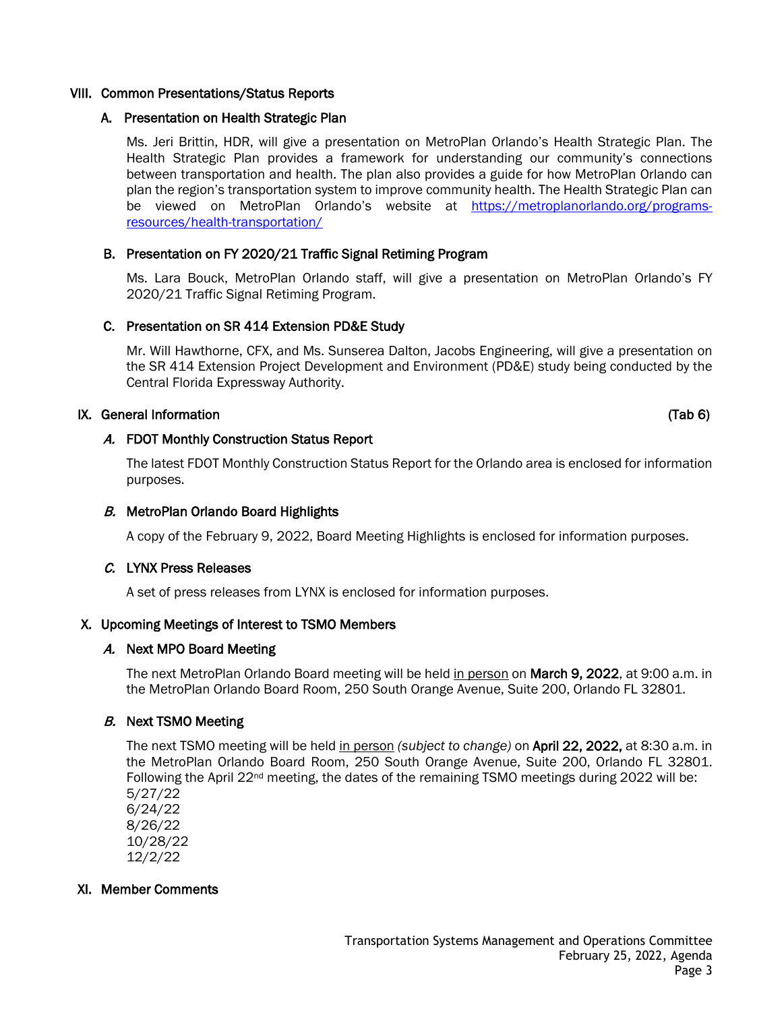#### VIII. Common Presentations/Status Reports

#### A. Presentation on Health Strategic Plan

Ms. Jeri Brittin, HDR, will give a presentation on MetroPlan Orlando's Health Strategic Plan. The Health Strategic Plan provides a framework for understanding our community's connections between transportation and health. The plan also provides a guide for how MetroPlan Orlando can plan the region's transportation system to improve community health. The Health Strategic Plan can be viewed on MetroPlan Orlando's website at [https://metroplanorlando.org/programs](https://metroplanorlando.org/programs-resources/health-transportation/)[resources/health-transportation/](https://metroplanorlando.org/programs-resources/health-transportation/)

#### B. Presentation on FY 2020/21 Traffic Signal Retiming Program

Ms. Lara Bouck, MetroPlan Orlando staff, will give a presentation on MetroPlan Orlando's FY 2020/21 Traffic Signal Retiming Program.

#### C. Presentation on SR 414 Extension PD&E Study

Mr. Will Hawthorne, CFX, and Ms. Sunserea Dalton, Jacobs Engineering, will give a presentation on the SR 414 Extension Project Development and Environment (PD&E) study being conducted by the Central Florida Expressway Authority.

### IX. General Information (Tab 6)

### A. FDOT Monthly Construction Status Report

The latest FDOT Monthly Construction Status Report for the Orlando area is enclosed for information purposes.

#### B. MetroPlan Orlando Board Highlights

A copy of the February 9, 2022, Board Meeting Highlights is enclosed for information purposes.

#### C. LYNX Press Releases

A set of press releases from LYNX is enclosed for information purposes.

#### X. Upcoming Meetings of Interest to TSMO Members

#### A. Next MPO Board Meeting

The next MetroPlan Orlando Board meeting will be held in person on March 9, 2022, at 9:00 a.m. in the MetroPlan Orlando Board Room, 250 South Orange Avenue, Suite 200, Orlando FL 32801.

#### B. Next TSMO Meeting

The next TSMO meeting will be held in person *(subject to change)* on April 22, 2022, at 8:30 a.m. in the MetroPlan Orlando Board Room, 250 South Orange Avenue, Suite 200, Orlando FL 32801. Following the April 22<sup>nd</sup> meeting, the dates of the remaining TSMO meetings during 2022 will be: 5/27/22

6/24/22 8/26/22 10/28/22 12/2/22

#### XI. Member Comments